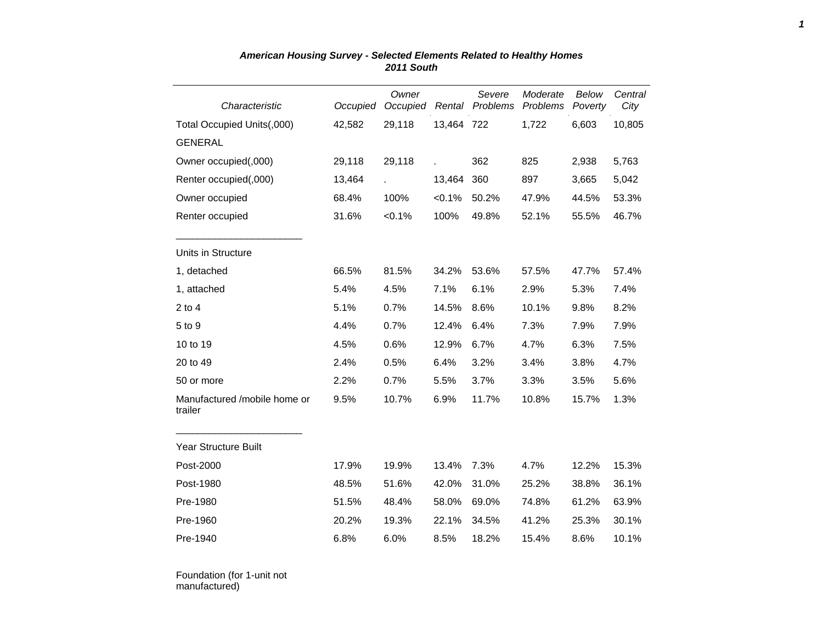| Characteristic                          | Occupied | Owner<br>Occupied | Rental     | Severe<br>Problems | Moderate<br>Problems | <b>Below</b><br>Poverty | Central<br>City |
|-----------------------------------------|----------|-------------------|------------|--------------------|----------------------|-------------------------|-----------------|
| Total Occupied Units(,000)              | 42,582   | 29,118            | 13,464 722 |                    | 1,722                | 6,603                   | 10,805          |
| <b>GENERAL</b>                          |          |                   |            |                    |                      |                         |                 |
| Owner occupied(,000)                    | 29,118   | 29,118            |            | 362                | 825                  | 2,938                   | 5,763           |
| Renter occupied(,000)                   | 13,464   |                   | 13,464     | 360                | 897                  | 3,665                   | 5,042           |
| Owner occupied                          | 68.4%    | 100%              | < 0.1%     | 50.2%              | 47.9%                | 44.5%                   | 53.3%           |
| Renter occupied                         | 31.6%    | $< 0.1\%$         | 100%       | 49.8%              | 52.1%                | 55.5%                   | 46.7%           |
| Units in Structure                      |          |                   |            |                    |                      |                         |                 |
| 1, detached                             | 66.5%    | 81.5%             | 34.2%      | 53.6%              | 57.5%                | 47.7%                   | 57.4%           |
| 1, attached                             | 5.4%     | 4.5%              | 7.1%       | 6.1%               | 2.9%                 | 5.3%                    | 7.4%            |
| $2$ to $4$                              | 5.1%     | 0.7%              | 14.5%      | 8.6%               | 10.1%                | 9.8%                    | 8.2%            |
| 5 to 9                                  | 4.4%     | 0.7%              | 12.4%      | 6.4%               | 7.3%                 | 7.9%                    | 7.9%            |
| 10 to 19                                | 4.5%     | 0.6%              | 12.9%      | 6.7%               | 4.7%                 | 6.3%                    | 7.5%            |
| 20 to 49                                | 2.4%     | 0.5%              | 6.4%       | 3.2%               | 3.4%                 | 3.8%                    | 4.7%            |
| 50 or more                              | 2.2%     | 0.7%              | 5.5%       | 3.7%               | 3.3%                 | 3.5%                    | 5.6%            |
| Manufactured /mobile home or<br>trailer | 9.5%     | 10.7%             | 6.9%       | 11.7%              | 10.8%                | 15.7%                   | 1.3%            |
| Year Structure Built                    |          |                   |            |                    |                      |                         |                 |
| Post-2000                               | 17.9%    | 19.9%             | 13.4%      | 7.3%               | 4.7%                 | 12.2%                   | 15.3%           |
| Post-1980                               | 48.5%    | 51.6%             | 42.0%      | 31.0%              | 25.2%                | 38.8%                   | 36.1%           |
| Pre-1980                                | 51.5%    | 48.4%             | 58.0%      | 69.0%              | 74.8%                | 61.2%                   | 63.9%           |
| Pre-1960                                | 20.2%    | 19.3%             | 22.1%      | 34.5%              | 41.2%                | 25.3%                   | 30.1%           |
| Pre-1940                                | 6.8%     | 6.0%              | 8.5%       | 18.2%              | 15.4%                | 8.6%                    | 10.1%           |

## *American Housing Survey - Selected Elements Related to Healthy Homes 2011 South*

Foundation (for 1-unit not manufactured)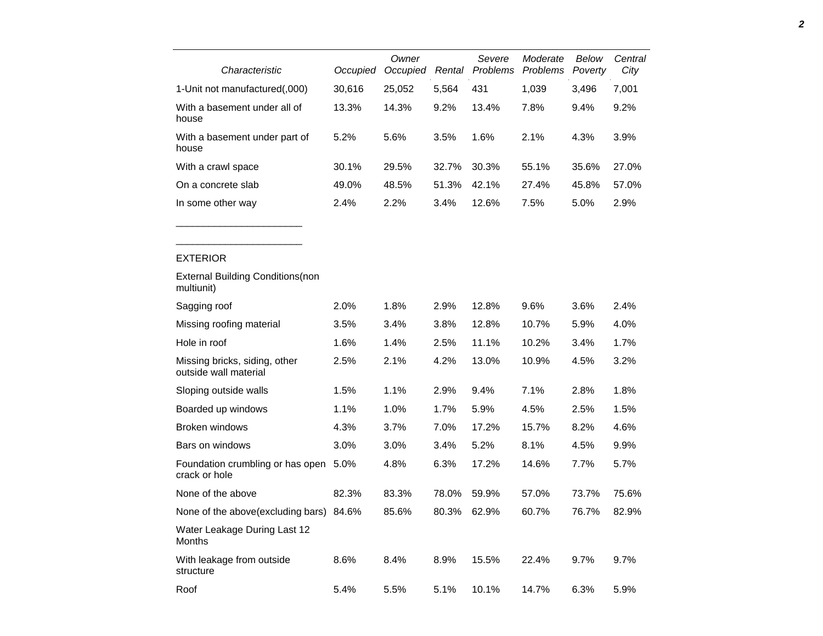|                                                        |          | Owner    |        | Severe   | Moderate | Below   | Central |
|--------------------------------------------------------|----------|----------|--------|----------|----------|---------|---------|
| Characteristic                                         | Occupied | Occupied | Rental | Problems | Problems | Poverty | City    |
| 1-Unit not manufactured(,000)                          | 30,616   | 25,052   | 5,564  | 431      | 1,039    | 3,496   | 7,001   |
| With a basement under all of<br>house                  | 13.3%    | 14.3%    | 9.2%   | 13.4%    | 7.8%     | 9.4%    | 9.2%    |
| With a basement under part of<br>house                 | 5.2%     | 5.6%     | 3.5%   | 1.6%     | 2.1%     | 4.3%    | 3.9%    |
| With a crawl space                                     | 30.1%    | 29.5%    | 32.7%  | 30.3%    | 55.1%    | 35.6%   | 27.0%   |
| On a concrete slab                                     | 49.0%    | 48.5%    | 51.3%  | 42.1%    | 27.4%    | 45.8%   | 57.0%   |
| In some other way                                      | 2.4%     | 2.2%     | 3.4%   | 12.6%    | 7.5%     | 5.0%    | 2.9%    |
|                                                        |          |          |        |          |          |         |         |
|                                                        |          |          |        |          |          |         |         |
| <b>EXTERIOR</b>                                        |          |          |        |          |          |         |         |
| <b>External Building Conditions (non</b><br>multiunit) |          |          |        |          |          |         |         |
| Sagging roof                                           | 2.0%     | 1.8%     | 2.9%   | 12.8%    | 9.6%     | 3.6%    | 2.4%    |
| Missing roofing material                               | 3.5%     | 3.4%     | 3.8%   | 12.8%    | 10.7%    | 5.9%    | 4.0%    |
| Hole in roof                                           | 1.6%     | 1.4%     | 2.5%   | 11.1%    | 10.2%    | 3.4%    | 1.7%    |
| Missing bricks, siding, other<br>outside wall material | 2.5%     | 2.1%     | 4.2%   | 13.0%    | 10.9%    | 4.5%    | 3.2%    |
| Sloping outside walls                                  | 1.5%     | 1.1%     | 2.9%   | 9.4%     | 7.1%     | 2.8%    | 1.8%    |
| Boarded up windows                                     | 1.1%     | 1.0%     | 1.7%   | 5.9%     | 4.5%     | 2.5%    | 1.5%    |

| Sloping outside walls                             | 1.5%    | 1.1%    | 2.9%    | $9.4\%$ | 7.1%  | 2.8%  | 1.8%  |
|---------------------------------------------------|---------|---------|---------|---------|-------|-------|-------|
| Boarded up windows                                | 1.1%    | 1.0%    | 1.7%    | 5.9%    | 4.5%  | 2.5%  | 1.5%  |
| Broken windows                                    | 4.3%    | 3.7%    | $7.0\%$ | 17.2%   | 15.7% | 8.2%  | 4.6%  |
| Bars on windows                                   | $3.0\%$ | $3.0\%$ | 3.4%    | 5.2%    | 8.1%  | 4.5%  | 9.9%  |
| Foundation crumbling or has open<br>crack or hole | 5.0%    | 4.8%    | 6.3%    | 17.2%   | 14.6% | 7.7%  | 5.7%  |
| None of the above                                 | 82.3%   | 83.3%   | 78.0%   | 59.9%   | 57.0% | 73.7% | 75.6% |
| None of the above (excluding bars) 84.6%          |         | 85.6%   | 80.3%   | 62.9%   | 60.7% | 76.7% | 82.9% |
| Water Leakage During Last 12<br>Months            |         |         |         |         |       |       |       |
| With leakage from outside<br>structure            | 8.6%    | 8.4%    | 8.9%    | 15.5%   | 22.4% | 9.7%  | 9.7%  |
| Roof                                              | 5.4%    | 5.5%    | 5.1%    | 10.1%   | 14.7% | 6.3%  | 5.9%  |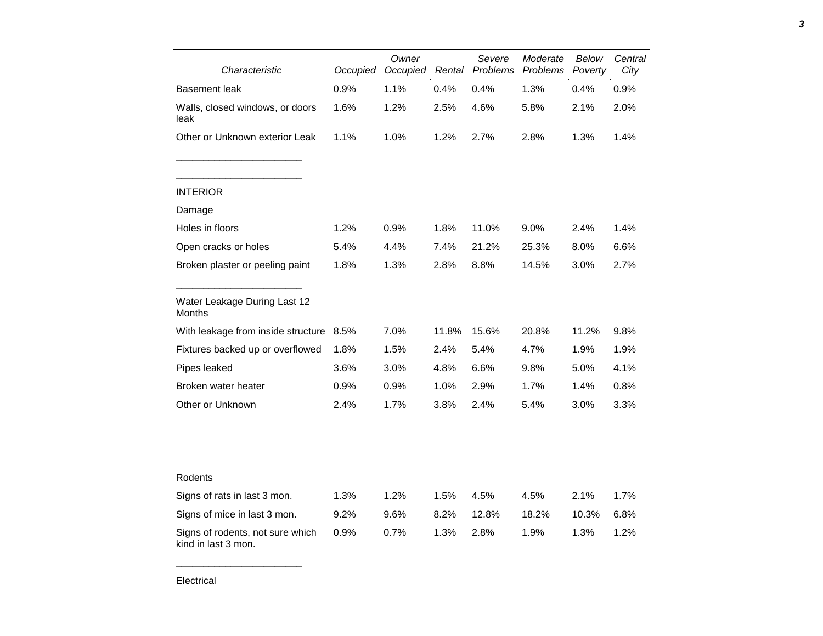| Characteristic                                          | Occupied | Owner<br>Occupied | Rental | Severe<br>Problems | Moderate<br>Problems | Below<br>Poverty | Central<br>City |
|---------------------------------------------------------|----------|-------------------|--------|--------------------|----------------------|------------------|-----------------|
| Basement leak                                           | 0.9%     | 1.1%              | 0.4%   | 0.4%               | 1.3%                 | 0.4%             | 0.9%            |
| Walls, closed windows, or doors<br>leak                 | 1.6%     | 1.2%              | 2.5%   | 4.6%               | 5.8%                 | 2.1%             | 2.0%            |
| Other or Unknown exterior Leak                          | 1.1%     | 1.0%              | 1.2%   | 2.7%               | 2.8%                 | 1.3%             | 1.4%            |
| <b>INTERIOR</b>                                         |          |                   |        |                    |                      |                  |                 |
| Damage                                                  |          |                   |        |                    |                      |                  |                 |
| Holes in floors                                         | 1.2%     | 0.9%              | 1.8%   | 11.0%              | 9.0%                 | 2.4%             | 1.4%            |
| Open cracks or holes                                    | 5.4%     | 4.4%              | 7.4%   | 21.2%              | 25.3%                | $8.0\%$          | 6.6%            |
| Broken plaster or peeling paint                         | 1.8%     | 1.3%              | 2.8%   | 8.8%               | 14.5%                | 3.0%             | 2.7%            |
| Water Leakage During Last 12<br>Months                  |          |                   |        |                    |                      |                  |                 |
| With leakage from inside structure                      | 8.5%     | 7.0%              | 11.8%  | 15.6%              | 20.8%                | 11.2%            | 9.8%            |
| Fixtures backed up or overflowed                        | 1.8%     | 1.5%              | 2.4%   | 5.4%               | 4.7%                 | 1.9%             | 1.9%            |
| Pipes leaked                                            | 3.6%     | 3.0%              | 4.8%   | 6.6%               | 9.8%                 | $5.0\%$          | 4.1%            |
| Broken water heater                                     | 0.9%     | 0.9%              | 1.0%   | 2.9%               | 1.7%                 | 1.4%             | 0.8%            |
| Other or Unknown                                        | 2.4%     | 1.7%              | 3.8%   | 2.4%               | 5.4%                 | 3.0%             | 3.3%            |
|                                                         |          |                   |        |                    |                      |                  |                 |
| Rodents                                                 |          |                   |        |                    |                      |                  |                 |
| Signs of rats in last 3 mon.                            | 1.3%     | 1.2%              | 1.5%   | 4.5%               | 4.5%                 | 2.1%             | 1.7%            |
| Signs of mice in last 3 mon.                            | 9.2%     | 9.6%              | 8.2%   | 12.8%              | 18.2%                | 10.3%            | 6.8%            |
| Signs of rodents, not sure which<br>kind in last 3 mon. | 0.9%     | 0.7%              | 1.3%   | 2.8%               | 1.9%                 | 1.3%             | 1.2%            |

*3*

\_\_\_\_\_\_\_\_\_\_\_\_\_\_\_\_\_\_\_\_\_\_\_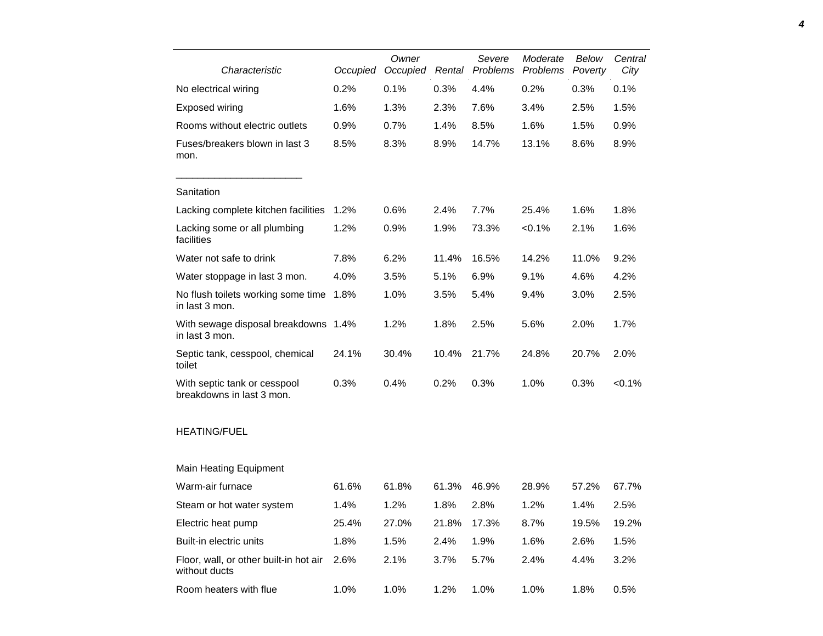| Characteristic                                            | Occupied | Owner<br>Occupied | Rental | Severe<br>Problems | Moderate<br>Problems | Below<br>Poverty | Central<br>City |
|-----------------------------------------------------------|----------|-------------------|--------|--------------------|----------------------|------------------|-----------------|
| No electrical wiring                                      | 0.2%     | 0.1%              | 0.3%   | 4.4%               | 0.2%                 | 0.3%             | 0.1%            |
| <b>Exposed wiring</b>                                     | 1.6%     | 1.3%              | 2.3%   | 7.6%               | 3.4%                 | 2.5%             | 1.5%            |
| Rooms without electric outlets                            | 0.9%     | 0.7%              | 1.4%   | 8.5%               | 1.6%                 | 1.5%             | 0.9%            |
| Fuses/breakers blown in last 3<br>mon.                    | 8.5%     | 8.3%              | 8.9%   | 14.7%              | 13.1%                | 8.6%             | 8.9%            |
| Sanitation                                                |          |                   |        |                    |                      |                  |                 |
| Lacking complete kitchen facilities                       | 1.2%     | 0.6%              | 2.4%   | 7.7%               | 25.4%                | 1.6%             | 1.8%            |
| Lacking some or all plumbing<br>facilities                | 1.2%     | 0.9%              | 1.9%   | 73.3%              | < 0.1%               | 2.1%             | 1.6%            |
| Water not safe to drink                                   | 7.8%     | 6.2%              | 11.4%  | 16.5%              | 14.2%                | 11.0%            | 9.2%            |
| Water stoppage in last 3 mon.                             | 4.0%     | 3.5%              | 5.1%   | 6.9%               | 9.1%                 | 4.6%             | 4.2%            |
| No flush toilets working some time<br>in last 3 mon.      | 1.8%     | 1.0%              | 3.5%   | 5.4%               | 9.4%                 | 3.0%             | 2.5%            |
| With sewage disposal breakdowns 1.4%<br>in last 3 mon.    |          | 1.2%              | 1.8%   | 2.5%               | 5.6%                 | 2.0%             | 1.7%            |
| Septic tank, cesspool, chemical<br>toilet                 | 24.1%    | 30.4%             | 10.4%  | 21.7%              | 24.8%                | 20.7%            | 2.0%            |
| With septic tank or cesspool<br>breakdowns in last 3 mon. | 0.3%     | 0.4%              | 0.2%   | 0.3%               | 1.0%                 | 0.3%             | $< 0.1\%$       |
| <b>HEATING/FUEL</b>                                       |          |                   |        |                    |                      |                  |                 |
| <b>Main Heating Equipment</b>                             |          |                   |        |                    |                      |                  |                 |
| Warm-air furnace                                          | 61.6%    | 61.8%             | 61.3%  | 46.9%              | 28.9%                | 57.2%            | 67.7%           |
| Steam or hot water system                                 | 1.4%     | 1.2%              | 1.8%   | 2.8%               | 1.2%                 | 1.4%             | 2.5%            |
| Electric heat pump                                        | 25.4%    | 27.0%             | 21.8%  | 17.3%              | 8.7%                 | 19.5%            | 19.2%           |
| Built-in electric units                                   | 1.8%     | 1.5%              | 2.4%   | 1.9%               | 1.6%                 | 2.6%             | 1.5%            |
| Floor, wall, or other built-in hot air<br>without ducts   | 2.6%     | 2.1%              | 3.7%   | 5.7%               | 2.4%                 | 4.4%             | 3.2%            |
| Room heaters with flue                                    | 1.0%     | 1.0%              | 1.2%   | 1.0%               | 1.0%                 | 1.8%             | 0.5%            |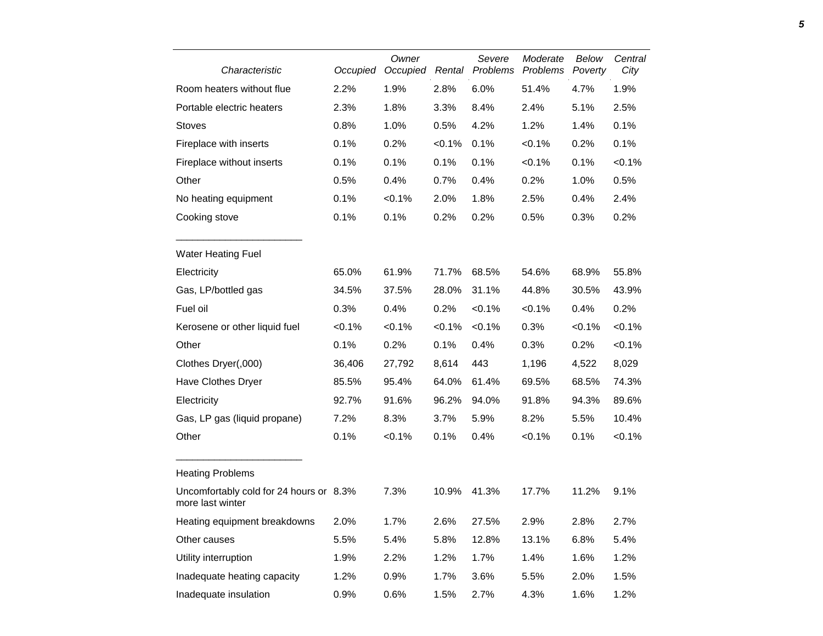| Characteristic                                              | Occupied | Owner<br>Occupied | Rental    | Severe<br>Problems | Moderate<br>Problems | Below<br>Poverty | Central<br>City |
|-------------------------------------------------------------|----------|-------------------|-----------|--------------------|----------------------|------------------|-----------------|
| Room heaters without flue                                   | 2.2%     | 1.9%              | 2.8%      | 6.0%               | 51.4%                | 4.7%             | 1.9%            |
| Portable electric heaters                                   | 2.3%     | 1.8%              | 3.3%      | 8.4%               | 2.4%                 | 5.1%             | 2.5%            |
| <b>Stoves</b>                                               | 0.8%     | 1.0%              | 0.5%      | 4.2%               | 1.2%                 | 1.4%             | 0.1%            |
| Fireplace with inserts                                      | 0.1%     | 0.2%              | < 0.1%    | 0.1%               | < 0.1%               | 0.2%             | 0.1%            |
| Fireplace without inserts                                   | 0.1%     | 0.1%              | 0.1%      | 0.1%               | < 0.1%               | 0.1%             | $< 0.1\%$       |
| Other                                                       | 0.5%     | 0.4%              | 0.7%      | 0.4%               | 0.2%                 | 1.0%             | 0.5%            |
| No heating equipment                                        | 0.1%     | < 0.1%            | 2.0%      | 1.8%               | 2.5%                 | 0.4%             | 2.4%            |
| Cooking stove                                               | 0.1%     | 0.1%              | 0.2%      | 0.2%               | 0.5%                 | 0.3%             | 0.2%            |
| <b>Water Heating Fuel</b>                                   |          |                   |           |                    |                      |                  |                 |
| Electricity                                                 | 65.0%    | 61.9%             | 71.7%     | 68.5%              | 54.6%                | 68.9%            | 55.8%           |
| Gas, LP/bottled gas                                         | 34.5%    | 37.5%             | 28.0%     | 31.1%              | 44.8%                | 30.5%            | 43.9%           |
| Fuel oil                                                    | 0.3%     | 0.4%              | 0.2%      | < 0.1%             | < 0.1%               | 0.4%             | 0.2%            |
| Kerosene or other liquid fuel                               | < 0.1%   | < 0.1%            | $< 0.1\%$ | < 0.1%             | 0.3%                 | $< 0.1\%$        | $< 0.1\%$       |
| Other                                                       | 0.1%     | 0.2%              | 0.1%      | 0.4%               | 0.3%                 | 0.2%             | $< 0.1\%$       |
| Clothes Dryer(,000)                                         | 36,406   | 27,792            | 8,614     | 443                | 1,196                | 4,522            | 8,029           |
| Have Clothes Dryer                                          | 85.5%    | 95.4%             | 64.0%     | 61.4%              | 69.5%                | 68.5%            | 74.3%           |
| Electricity                                                 | 92.7%    | 91.6%             | 96.2%     | 94.0%              | 91.8%                | 94.3%            | 89.6%           |
| Gas, LP gas (liquid propane)                                | 7.2%     | 8.3%              | 3.7%      | 5.9%               | 8.2%                 | 5.5%             | 10.4%           |
| Other                                                       | 0.1%     | < 0.1%            | 0.1%      | 0.4%               | < 0.1%               | 0.1%             | $< 0.1\%$       |
| <b>Heating Problems</b>                                     |          |                   |           |                    |                      |                  |                 |
| Uncomfortably cold for 24 hours or 8.3%<br>more last winter |          | 7.3%              | 10.9%     | 41.3%              | 17.7%                | 11.2%            | 9.1%            |
| Heating equipment breakdowns                                | 2.0%     | 1.7%              | 2.6%      | 27.5%              | 2.9%                 | 2.8%             | 2.7%            |
| Other causes                                                | 5.5%     | 5.4%              | 5.8%      | 12.8%              | 13.1%                | 6.8%             | 5.4%            |
| Utility interruption                                        | 1.9%     | 2.2%              | 1.2%      | 1.7%               | 1.4%                 | 1.6%             | 1.2%            |
| Inadequate heating capacity                                 | 1.2%     | 0.9%              | 1.7%      | 3.6%               | 5.5%                 | 2.0%             | 1.5%            |
| Inadequate insulation                                       | 0.9%     | 0.6%              | 1.5%      | 2.7%               | 4.3%                 | 1.6%             | 1.2%            |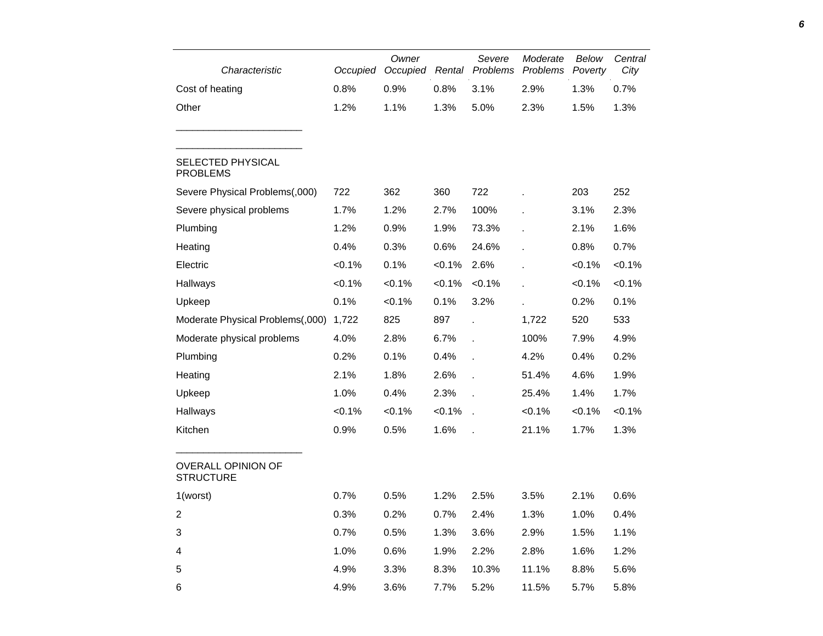| Characteristic                                | Occupied | Owner<br>Occupied | Rental | Severe<br>Problems | Moderate<br>Problems | Below<br>Poverty | Central<br>City |
|-----------------------------------------------|----------|-------------------|--------|--------------------|----------------------|------------------|-----------------|
| Cost of heating                               | 0.8%     | 0.9%              | 0.8%   | 3.1%               | 2.9%                 | 1.3%             | 0.7%            |
| Other                                         | 1.2%     | 1.1%              | 1.3%   | 5.0%               | 2.3%                 | 1.5%             | 1.3%            |
| <b>SELECTED PHYSICAL</b><br><b>PROBLEMS</b>   |          |                   |        |                    |                      |                  |                 |
| Severe Physical Problems(,000)                | 722      | 362               | 360    | 722                |                      | 203              | 252             |
| Severe physical problems                      | 1.7%     | 1.2%              | 2.7%   | 100%               |                      | 3.1%             | 2.3%            |
| Plumbing                                      | 1.2%     | 0.9%              | 1.9%   | 73.3%              | ä,                   | 2.1%             | 1.6%            |
| Heating                                       | 0.4%     | 0.3%              | 0.6%   | 24.6%              |                      | 0.8%             | 0.7%            |
| Electric                                      | < 0.1%   | 0.1%              | < 0.1% | 2.6%               |                      | $< 0.1\%$        | < 0.1%          |
| Hallways                                      | < 0.1%   | < 0.1%            | < 0.1% | < 0.1%             |                      | <0.1%            | < 0.1%          |
| Upkeep                                        | 0.1%     | < 0.1%            | 0.1%   | 3.2%               |                      | 0.2%             | 0.1%            |
| Moderate Physical Problems(,000)              | 1,722    | 825               | 897    | J.                 | 1,722                | 520              | 533             |
| Moderate physical problems                    | 4.0%     | 2.8%              | 6.7%   | ÷.                 | 100%                 | 7.9%             | 4.9%            |
| Plumbing                                      | 0.2%     | 0.1%              | 0.4%   | ä,                 | 4.2%                 | 0.4%             | 0.2%            |
| Heating                                       | 2.1%     | 1.8%              | 2.6%   | ÷.                 | 51.4%                | 4.6%             | 1.9%            |
| Upkeep                                        | 1.0%     | 0.4%              | 2.3%   | t,                 | 25.4%                | 1.4%             | 1.7%            |
| Hallways                                      | < 0.1%   | < 0.1%            | < 0.1% | J.                 | < 0.1%               | <0.1%            | < 0.1%          |
| Kitchen                                       | 0.9%     | 0.5%              | 1.6%   |                    | 21.1%                | 1.7%             | 1.3%            |
| <b>OVERALL OPINION OF</b><br><b>STRUCTURE</b> |          |                   |        |                    |                      |                  |                 |
| 1(worst)                                      | 0.7%     | 0.5%              | 1.2%   | 2.5%               | 3.5%                 | 2.1%             | 0.6%            |
| 2                                             | 0.3%     | 0.2%              | 0.7%   | 2.4%               | 1.3%                 | 1.0%             | 0.4%            |
| 3                                             | 0.7%     | 0.5%              | 1.3%   | 3.6%               | 2.9%                 | 1.5%             | 1.1%            |
| 4                                             | 1.0%     | 0.6%              | 1.9%   | 2.2%               | 2.8%                 | 1.6%             | 1.2%            |
| 5                                             | 4.9%     | 3.3%              | 8.3%   | 10.3%              | 11.1%                | 8.8%             | 5.6%            |
| 6                                             | 4.9%     | 3.6%              | 7.7%   | 5.2%               | 11.5%                | 5.7%             | 5.8%            |